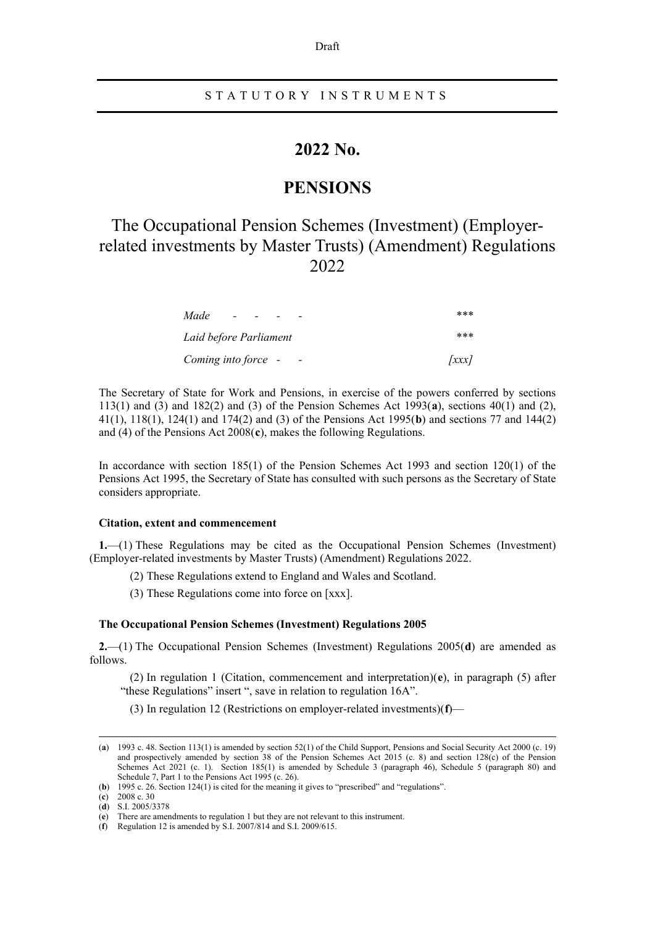#### Draft

## STATUTORY INSTRUMENTS

## **2022 No.**

## **PENSIONS**

# The Occupational Pension Schemes (Investment) (Employerrelated investments by Master Trusts) (Amendment) Regulations 2022

| Made<br>$\sim$                | ***                    |
|-------------------------------|------------------------|
| Laid before Parliament        | ***                    |
| Coming into force -<br>$\sim$ | $\left  \right\rangle$ |

The Secretary of State for Work and Pensions, in exercise of the powers conferred by sections 113(1) and (3) and 182(2) and (3) of the Pension Schemes Act 1993(**[a](#page-0-0)**), sections 40(1) and (2), 41(1), 118(1), 124(1) and 174(2) and (3) of the Pensions Act 1995(**[b](#page-0-1)**) and sections 77 and 144(2) and (4) of the Pensions Act 2008(**[c](#page-0-2)**), makes the following Regulations.

In accordance with section 185(1) of the Pension Schemes Act 1993 and section 120(1) of the Pensions Act 1995, the Secretary of State has consulted with such persons as the Secretary of State considers appropriate.

#### **Citation, extent and commencement**

**1.**—(1) These Regulations may be cited as the Occupational Pension Schemes (Investment) (Employer-related investments by Master Trusts) (Amendment) Regulations 2022.

(2) These Regulations extend to England and Wales and Scotland.

(3) These Regulations come into force on [xxx].

#### **The Occupational Pension Schemes (Investment) Regulations 2005**

**2.**—(1) The Occupational Pension Schemes (Investment) Regulations 2005(**[d](#page-0-3)**) are amended as follows.

(2) In regulation 1 (Citation, commencement and interpretation)(**[e](#page-0-4)**), in paragraph (5) after "these Regulations" insert ", save in relation to regulation 16A".

(3) In regulation 12 (Restrictions on employer-related investments)(**[f](#page-0-5)**)—

<span id="page-0-0"></span><sup>(</sup>**a**) 1993 c. 48. Section 113(1) is amended by section 52(1) of the Child Support, Pensions and Social Security Act 2000 (c. 19) and prospectively amended by section 38 of the Pension Schemes Act 2015 (c. 8) and section 128(c) of the Pension Schemes Act 2021 (c. 1). Section 185(1) is amended by Schedule 3 (paragraph 46), Schedule 5 (paragraph 80) and Schedule 7, Part 1 to the Pensions Act 1995 (c. 26).

<span id="page-0-2"></span><span id="page-0-1"></span><sup>(</sup>**b**) 1995 c. 26. Section 124(1) is cited for the meaning it gives to "prescribed" and "regulations".

<sup>(</sup>**c**) 2008 c. 30

<span id="page-0-3"></span><sup>(</sup>**d**) S.I. 2005/3378

<sup>(</sup>**e**) There are amendments to regulation 1 but they are not relevant to this instrument.

<span id="page-0-5"></span><span id="page-0-4"></span><sup>(</sup>**f**) Regulation 12 is amended by S.I. 2007/814 and S.I. 2009/615.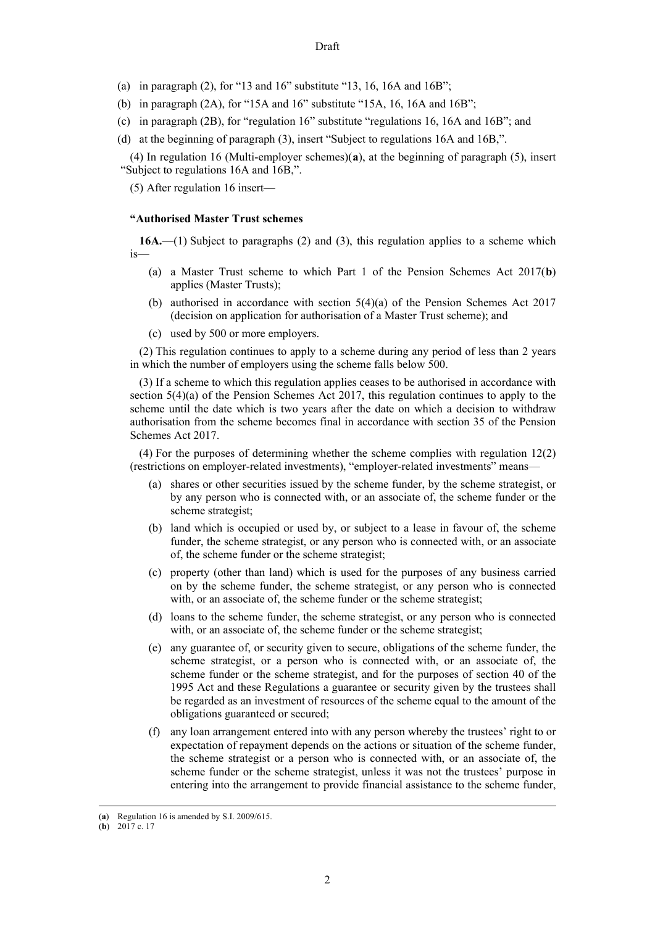- (a) in paragraph  $(2)$ , for "13 and 16" substitute "13, 16, 16A and 16B";
- (b) in paragraph (2A), for "15A and 16" substitute "15A, 16, 16A and 16B";
- (c) in paragraph (2B), for "regulation 16" substitute "regulations 16, 16A and 16B"; and
- (d) at the beginning of paragraph (3), insert "Subject to regulations 16A and 16B,".

(4) In regulation 16 (Multi-employer schemes)(**[a](#page-1-0)**), at the beginning of paragraph (5), insert "Subject to regulations 16A and 16B,".

(5) After regulation 16 insert—

#### **"Authorised Master Trust schemes**

**16A.**—(1) Subject to paragraphs (2) and (3), this regulation applies to a scheme which is—

- (a) a Master Trust scheme to which Part 1 of the Pension Schemes Act 2017(**[b](#page-1-1)**) applies (Master Trusts);
- (b) authorised in accordance with section  $5(4)(a)$  of the Pension Schemes Act 2017 (decision on application for authorisation of a Master Trust scheme); and
- (c) used by 500 or more employers.

(2) This regulation continues to apply to a scheme during any period of less than 2 years in which the number of employers using the scheme falls below 500.

(3) If a scheme to which this regulation applies ceases to be authorised in accordance with section 5(4)(a) of the Pension Schemes Act 2017, this regulation continues to apply to the scheme until the date which is two years after the date on which a decision to withdraw authorisation from the scheme becomes final in accordance with section 35 of the Pension Schemes Act 2017.

(4) For the purposes of determining whether the scheme complies with regulation 12(2) (restrictions on employer-related investments), "employer-related investments" means—

- (a) shares or other securities issued by the scheme funder, by the scheme strategist, or by any person who is connected with, or an associate of, the scheme funder or the scheme strategist;
- (b) land which is occupied or used by, or subject to a lease in favour of, the scheme funder, the scheme strategist, or any person who is connected with, or an associate of, the scheme funder or the scheme strategist;
- (c) property (other than land) which is used for the purposes of any business carried on by the scheme funder, the scheme strategist, or any person who is connected with, or an associate of, the scheme funder or the scheme strategist;
- (d) loans to the scheme funder, the scheme strategist, or any person who is connected with, or an associate of, the scheme funder or the scheme strategist;
- (e) any guarantee of, or security given to secure, obligations of the scheme funder, the scheme strategist, or a person who is connected with, or an associate of, the scheme funder or the scheme strategist, and for the purposes of section 40 of the 1995 Act and these Regulations a guarantee or security given by the trustees shall be regarded as an investment of resources of the scheme equal to the amount of the obligations guaranteed or secured;
- (f) any loan arrangement entered into with any person whereby the trustees' right to or expectation of repayment depends on the actions or situation of the scheme funder, the scheme strategist or a person who is connected with, or an associate of, the scheme funder or the scheme strategist, unless it was not the trustees' purpose in entering into the arrangement to provide financial assistance to the scheme funder,

<span id="page-1-0"></span><sup>(</sup>**a**) Regulation 16 is amended by S.I. 2009/615.

<span id="page-1-1"></span><sup>(</sup>**b**) 2017 c. 17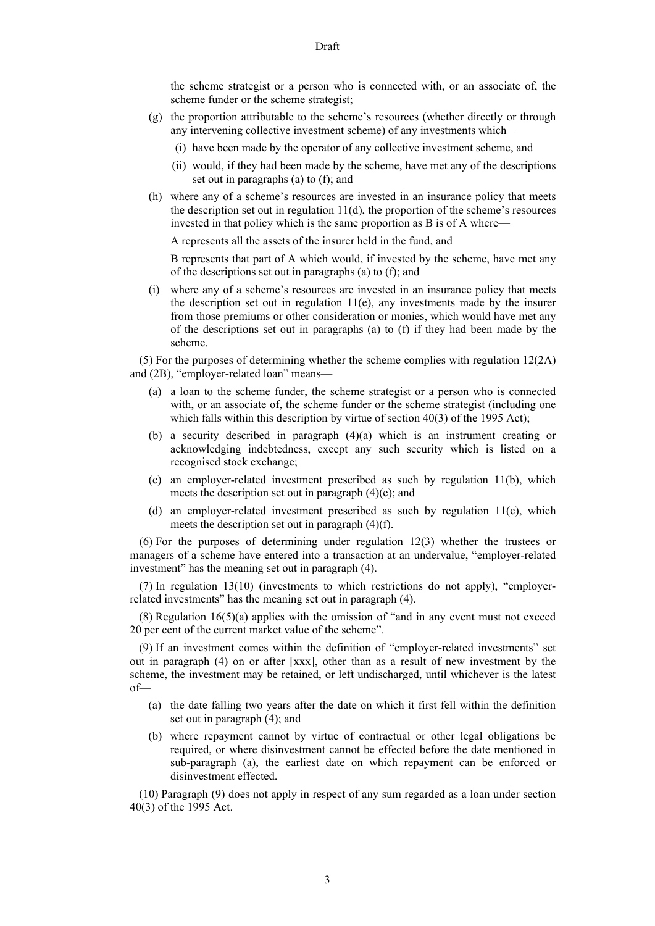the scheme strategist or a person who is connected with, or an associate of, the scheme funder or the scheme strategist;

- (g) the proportion attributable to the scheme's resources (whether directly or through any intervening collective investment scheme) of any investments which—
	- (i) have been made by the operator of any collective investment scheme, and
	- (ii) would, if they had been made by the scheme, have met any of the descriptions set out in paragraphs (a) to (f); and
- (h) where any of a scheme's resources are invested in an insurance policy that meets the description set out in regulation 11(d), the proportion of the scheme's resources invested in that policy which is the same proportion as B is of A where—

A represents all the assets of the insurer held in the fund, and

B represents that part of A which would, if invested by the scheme, have met any of the descriptions set out in paragraphs (a) to (f); and

(i) where any of a scheme's resources are invested in an insurance policy that meets the description set out in regulation  $11(e)$ , any investments made by the insurer from those premiums or other consideration or monies, which would have met any of the descriptions set out in paragraphs (a) to (f) if they had been made by the scheme.

(5) For the purposes of determining whether the scheme complies with regulation  $12(2)$ and (2B), "employer-related loan" means—

- (a) a loan to the scheme funder, the scheme strategist or a person who is connected with, or an associate of, the scheme funder or the scheme strategist (including one which falls within this description by virtue of section 40(3) of the 1995 Act);
- (b) a security described in paragraph (4)(a) which is an instrument creating or acknowledging indebtedness, except any such security which is listed on a recognised stock exchange;
- (c) an employer-related investment prescribed as such by regulation 11(b), which meets the description set out in paragraph (4)(e); and
- (d) an employer-related investment prescribed as such by regulation 11(c), which meets the description set out in paragraph (4)(f).

(6) For the purposes of determining under regulation 12(3) whether the trustees or managers of a scheme have entered into a transaction at an undervalue, "employer-related investment" has the meaning set out in paragraph (4).

(7) In regulation 13(10) (investments to which restrictions do not apply), "employerrelated investments" has the meaning set out in paragraph (4).

 $(8)$  Regulation 16(5)(a) applies with the omission of "and in any event must not exceed 20 per cent of the current market value of the scheme".

(9) If an investment comes within the definition of "employer-related investments" set out in paragraph (4) on or after [xxx], other than as a result of new investment by the scheme, the investment may be retained, or left undischarged, until whichever is the latest of—

- (a) the date falling two years after the date on which it first fell within the definition set out in paragraph (4); and
- (b) where repayment cannot by virtue of contractual or other legal obligations be required, or where disinvestment cannot be effected before the date mentioned in sub-paragraph (a), the earliest date on which repayment can be enforced or disinvestment effected.

(10) Paragraph (9) does not apply in respect of any sum regarded as a loan under section 40(3) of the 1995 Act.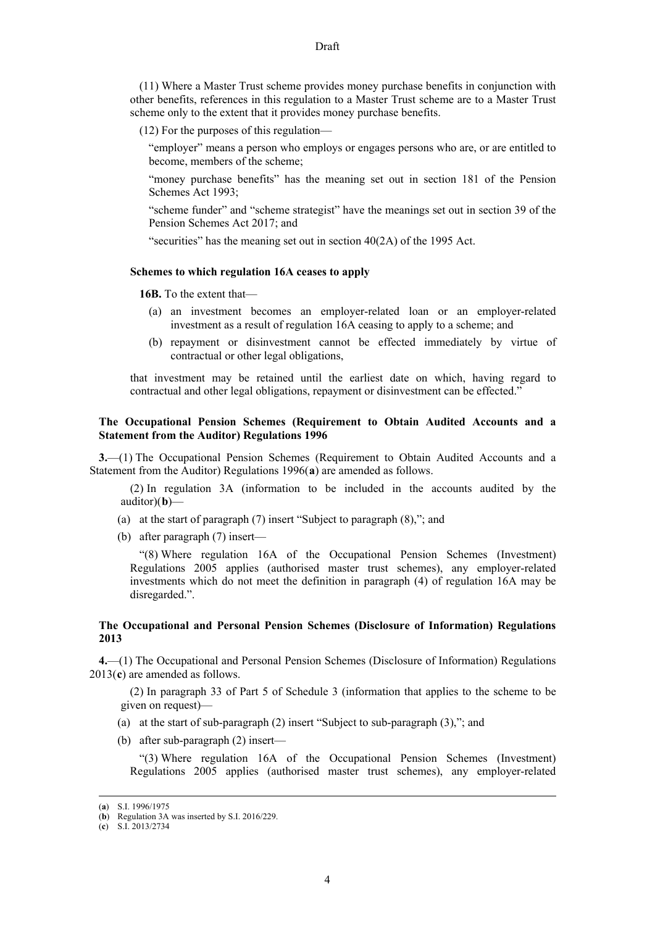(11) Where a Master Trust scheme provides money purchase benefits in conjunction with other benefits, references in this regulation to a Master Trust scheme are to a Master Trust scheme only to the extent that it provides money purchase benefits.

(12) For the purposes of this regulation—

"employer" means a person who employs or engages persons who are, or are entitled to become, members of the scheme;

"money purchase benefits" has the meaning set out in section 181 of the Pension Schemes Act 1993;

"scheme funder" and "scheme strategist" have the meanings set out in section 39 of the Pension Schemes Act 2017; and

"securities" has the meaning set out in section 40(2A) of the 1995 Act.

#### **Schemes to which regulation 16A ceases to apply**

**16B.** To the extent that—

- (a) an investment becomes an employer-related loan or an employer-related investment as a result of regulation 16A ceasing to apply to a scheme; and
- (b) repayment or disinvestment cannot be effected immediately by virtue of contractual or other legal obligations,

that investment may be retained until the earliest date on which, having regard to contractual and other legal obligations, repayment or disinvestment can be effected."

## **The Occupational Pension Schemes (Requirement to Obtain Audited Accounts and a Statement from the Auditor) Regulations 1996**

**3.**—(1) The Occupational Pension Schemes (Requirement to Obtain Audited Accounts and a Statement from the Auditor) Regulations 1996(**[a](#page-3-0)**) are amended as follows.

(2) In regulation 3A (information to be included in the accounts audited by the auditor)(**[b](#page-3-1)**)—

- (a) at the start of paragraph (7) insert "Subject to paragraph (8),"; and
- (b) after paragraph (7) insert—

"(8) Where regulation 16A of the Occupational Pension Schemes (Investment) Regulations 2005 applies (authorised master trust schemes), any employer-related investments which do not meet the definition in paragraph (4) of regulation 16A may be disregarded.".

### **The Occupational and Personal Pension Schemes (Disclosure of Information) Regulations 2013**

**4.**—(1) The Occupational and Personal Pension Schemes (Disclosure of Information) Regulations 2013(**[c](#page-3-2)**) are amended as follows.

(2) In paragraph 33 of Part 5 of Schedule 3 (information that applies to the scheme to be given on request)—

- (a) at the start of sub-paragraph (2) insert "Subject to sub-paragraph (3),"; and
- (b) after sub-paragraph (2) insert—

"(3) Where regulation 16A of the Occupational Pension Schemes (Investment) Regulations 2005 applies (authorised master trust schemes), any employer-related

<span id="page-3-0"></span><sup>(</sup>**a**) S.I. 1996/1975

<span id="page-3-1"></span><sup>(</sup>**b**) Regulation 3A was inserted by S.I. 2016/229.

<span id="page-3-2"></span><sup>(</sup>**c**) S.I. 2013/2734